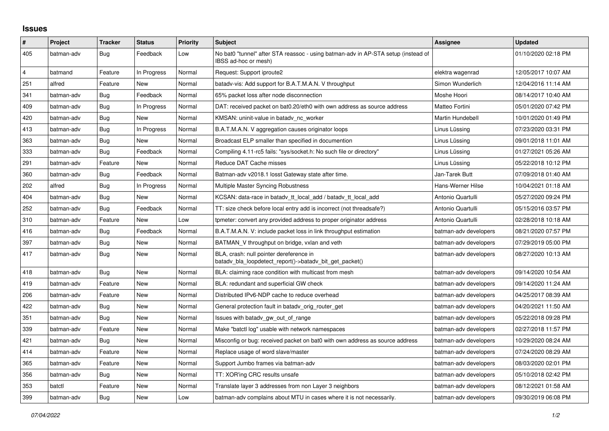## **Issues**

| $\vert$ #      | Project    | <b>Tracker</b> | <b>Status</b> | <b>Priority</b> | <b>Subject</b>                                                                                            | <b>Assignee</b>       | <b>Updated</b>      |
|----------------|------------|----------------|---------------|-----------------|-----------------------------------------------------------------------------------------------------------|-----------------------|---------------------|
| 405            | batman-adv | Bug            | Feedback      | Low             | No bat0 "tunnel" after STA reassoc - using batman-adv in AP-STA setup (instead of<br>IBSS ad-hoc or mesh) |                       | 01/10/2020 02:18 PM |
| $\overline{4}$ | batmand    | Feature        | In Progress   | Normal          | Request: Support iproute2                                                                                 | elektra wagenrad      | 12/05/2017 10:07 AM |
| 251            | alfred     | Feature        | New           | Normal          | batady-vis: Add support for B.A.T.M.A.N. V throughput                                                     | Simon Wunderlich      | 12/04/2016 11:14 AM |
| 341            | batman-adv | Bug            | Feedback      | Normal          | 65% packet loss after node disconnection                                                                  | Moshe Hoori           | 08/14/2017 10:40 AM |
| 409            | batman-adv | Bug            | In Progress   | Normal          | DAT: received packet on bat0.20/eth0 with own address as source address                                   | Matteo Fortini        | 05/01/2020 07:42 PM |
| 420            | batman-adv | <b>Bug</b>     | <b>New</b>    | Normal          | KMSAN: uninit-value in batady nc worker                                                                   | Martin Hundebøll      | 10/01/2020 01:49 PM |
| 413            | batman-adv | Bug            | In Progress   | Normal          | B.A.T.M.A.N. V aggregation causes originator loops                                                        | Linus Lüssing         | 07/23/2020 03:31 PM |
| 363            | batman-adv | Bug            | New           | Normal          | Broadcast ELP smaller than specified in documention                                                       | Linus Lüssing         | 09/01/2018 11:01 AM |
| 333            | batman-adv | Bug            | Feedback      | Normal          | Compiling 4.11-rc5 fails: "sys/socket.h: No such file or directory"                                       | Linus Lüssing         | 01/27/2021 05:26 AM |
| 291            | batman-adv | Feature        | New           | Normal          | Reduce DAT Cache misses                                                                                   | Linus Lüssing         | 05/22/2018 10:12 PM |
| 360            | batman-adv | Bug            | Feedback      | Normal          | Batman-adv v2018.1 losst Gateway state after time.                                                        | Jan-Tarek Butt        | 07/09/2018 01:40 AM |
| 202            | alfred     | Bug            | In Progress   | Normal          | Multiple Master Syncing Robustness                                                                        | Hans-Werner Hilse     | 10/04/2021 01:18 AM |
| 404            | batman-adv | Bug            | New           | Normal          | KCSAN: data-race in batady tt local add / batady tt local add                                             | Antonio Quartulli     | 05/27/2020 09:24 PM |
| 252            | batman-adv | Bug            | Feedback      | Normal          | TT: size check before local entry add is incorrect (not threadsafe?)                                      | Antonio Quartulli     | 05/15/2016 03:57 PM |
| 310            | batman-adv | Feature        | New           | Low             | tpmeter: convert any provided address to proper originator address                                        | Antonio Quartulli     | 02/28/2018 10:18 AM |
| 416            | batman-adv | Bug            | Feedback      | Normal          | B.A.T.M.A.N. V: include packet loss in link throughput estimation                                         | batman-adv developers | 08/21/2020 07:57 PM |
| 397            | batman-adv | Bug            | New           | Normal          | BATMAN V throughput on bridge, vxlan and veth                                                             | batman-adv developers | 07/29/2019 05:00 PM |
| 417            | batman-adv | Bug            | New           | Normal          | BLA, crash: null pointer dereference in<br>batady bla loopdetect report()->batady bit get packet()        | batman-adv developers | 08/27/2020 10:13 AM |
| 418            | batman-adv | <b>Bug</b>     | <b>New</b>    | Normal          | BLA: claiming race condition with multicast from mesh                                                     | batman-adv developers | 09/14/2020 10:54 AM |
| 419            | batman-adv | Feature        | New           | Normal          | BLA: redundant and superficial GW check                                                                   | batman-adv developers | 09/14/2020 11:24 AM |
| 206            | batman-adv | Feature        | New           | Normal          | Distributed IPv6-NDP cache to reduce overhead                                                             | batman-adv developers | 04/25/2017 08:39 AM |
| 422            | batman-adv | Bug            | New           | Normal          | General protection fault in batady orig router get                                                        | batman-adv developers | 04/20/2021 11:50 AM |
| 351            | batman-adv | Bug            | New           | Normal          | Issues with batady gw out of range                                                                        | batman-adv developers | 05/22/2018 09:28 PM |
| 339            | batman-adv | Feature        | New           | Normal          | Make "batctl log" usable with network namespaces                                                          | batman-adv developers | 02/27/2018 11:57 PM |
| 421            | batman-adv | Bug            | New           | Normal          | Misconfig or bug: received packet on bat0 with own address as source address                              | batman-adv developers | 10/29/2020 08:24 AM |
| 414            | batman-adv | Feature        | New           | Normal          | Replace usage of word slave/master                                                                        | batman-adv developers | 07/24/2020 08:29 AM |
| 365            | batman-adv | Feature        | New           | Normal          | Support Jumbo frames via batman-adv                                                                       | batman-adv developers | 08/03/2020 02:01 PM |
| 356            | batman-adv | Bug            | New           | Normal          | TT: XOR'ing CRC results unsafe                                                                            | batman-adv developers | 05/10/2018 02:42 PM |
| 353            | batctl     | Feature        | New           | Normal          | Translate layer 3 addresses from non Layer 3 neighbors                                                    | batman-adv developers | 08/12/2021 01:58 AM |
| 399            | batman-adv | Bug            | New           | Low             | batman-adv complains about MTU in cases where it is not necessarily.                                      | batman-adv developers | 09/30/2019 06:08 PM |